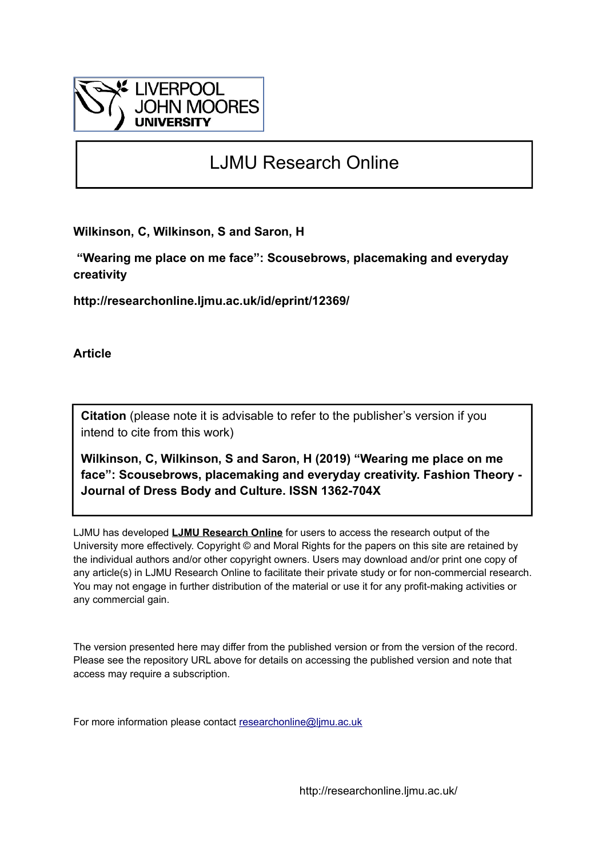

# LJMU Research Online

**Wilkinson, C, Wilkinson, S and Saron, H**

 **"Wearing me place on me face": Scousebrows, placemaking and everyday creativity**

**http://researchonline.ljmu.ac.uk/id/eprint/12369/**

**Article**

**Citation** (please note it is advisable to refer to the publisher's version if you intend to cite from this work)

**Wilkinson, C, Wilkinson, S and Saron, H (2019) "Wearing me place on me face": Scousebrows, placemaking and everyday creativity. Fashion Theory - Journal of Dress Body and Culture. ISSN 1362-704X** 

LJMU has developed **[LJMU Research Online](http://researchonline.ljmu.ac.uk/)** for users to access the research output of the University more effectively. Copyright © and Moral Rights for the papers on this site are retained by the individual authors and/or other copyright owners. Users may download and/or print one copy of any article(s) in LJMU Research Online to facilitate their private study or for non-commercial research. You may not engage in further distribution of the material or use it for any profit-making activities or any commercial gain.

The version presented here may differ from the published version or from the version of the record. Please see the repository URL above for details on accessing the published version and note that access may require a subscription.

For more information please contact [researchonline@ljmu.ac.uk](mailto:researchonline@ljmu.ac.uk)

http://researchonline.ljmu.ac.uk/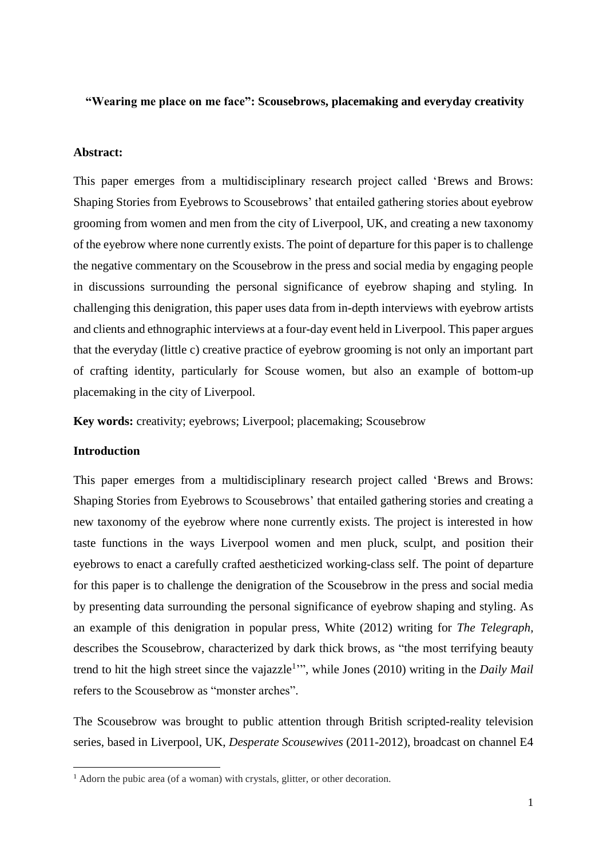## **"Wearing me place on me face": Scousebrows, placemaking and everyday creativity**

#### **Abstract:**

This paper emerges from a multidisciplinary research project called 'Brews and Brows: Shaping Stories from Eyebrows to Scousebrows' that entailed gathering stories about eyebrow grooming from women and men from the city of Liverpool, UK, and creating a new taxonomy of the eyebrow where none currently exists. The point of departure for this paper is to challenge the negative commentary on the Scousebrow in the press and social media by engaging people in discussions surrounding the personal significance of eyebrow shaping and styling. In challenging this denigration, this paper uses data from in-depth interviews with eyebrow artists and clients and ethnographic interviews at a four-day event held in Liverpool. This paper argues that the everyday (little c) creative practice of eyebrow grooming is not only an important part of crafting identity, particularly for Scouse women, but also an example of bottom-up placemaking in the city of Liverpool.

**Key words:** creativity; eyebrows; Liverpool; placemaking; Scousebrow

#### **Introduction**

**.** 

This paper emerges from a multidisciplinary research project called 'Brews and Brows: Shaping Stories from Eyebrows to Scousebrows' that entailed gathering stories and creating a new taxonomy of the eyebrow where none currently exists. The project is interested in how taste functions in the ways Liverpool women and men pluck, sculpt, and position their eyebrows to enact a carefully crafted aestheticized working-class self. The point of departure for this paper is to challenge the denigration of the Scousebrow in the press and social media by presenting data surrounding the personal significance of eyebrow shaping and styling. As an example of this denigration in popular press, White (2012) writing for *The Telegraph,* describes the Scousebrow, characterized by dark thick brows, as "the most terrifying beauty trend to hit the high street since the vajazzle<sup>1</sup>", while Jones (2010) writing in the *Daily Mail* refers to the Scousebrow as "monster arches".

The Scousebrow was brought to public attention through British scripted-reality television series, based in Liverpool, UK, *Desperate Scousewives* (2011-2012), broadcast on channel E4

<sup>&</sup>lt;sup>1</sup> Adorn the pubic area (of a woman) with crystals, glitter, or other decoration.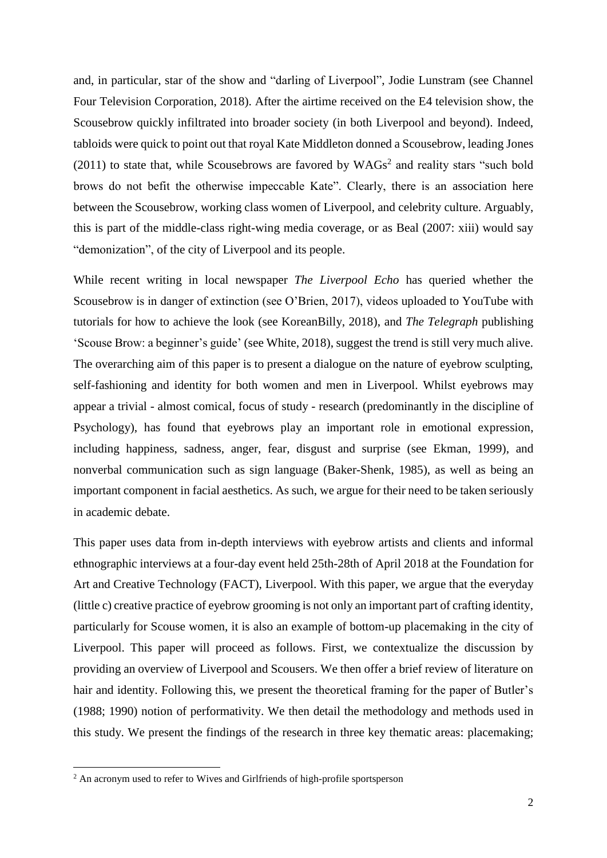and, in particular, star of the show and "darling of Liverpool", Jodie Lunstram (see Channel Four Television Corporation, 2018). After the airtime received on the E4 television show, the Scousebrow quickly infiltrated into broader society (in both Liverpool and beyond). Indeed, tabloids were quick to point out that royal Kate Middleton donned a Scousebrow, leading Jones  $(2011)$  to state that, while Scousebrows are favored by WAGs<sup>2</sup> and reality stars "such bold brows do not befit the otherwise impeccable Kate". Clearly, there is an association here between the Scousebrow, working class women of Liverpool, and celebrity culture. Arguably, this is part of the middle-class right-wing media coverage, or as Beal (2007: xiii) would say "demonization", of the city of Liverpool and its people.

While recent writing in local newspaper *The Liverpool Echo* has queried whether the Scousebrow is in danger of extinction (see O'Brien, 2017), videos uploaded to YouTube with tutorials for how to achieve the look (see KoreanBilly, 2018), and *The Telegraph* publishing 'Scouse Brow: a beginner's guide' (see White, 2018), suggest the trend is still very much alive. The overarching aim of this paper is to present a dialogue on the nature of eyebrow sculpting, self-fashioning and identity for both women and men in Liverpool. Whilst eyebrows may appear a trivial - almost comical, focus of study - research (predominantly in the discipline of Psychology), has found that eyebrows play an important role in emotional expression, including happiness, sadness, anger, fear, disgust and surprise (see Ekman, 1999), and nonverbal communication such as sign language (Baker-Shenk, 1985), as well as being an important component in facial aesthetics. As such, we argue for their need to be taken seriously in academic debate.

This paper uses data from in-depth interviews with eyebrow artists and clients and informal ethnographic interviews at a four-day event held 25th-28th of April 2018 at the Foundation for Art and Creative Technology (FACT), Liverpool. With this paper, we argue that the everyday (little c) creative practice of eyebrow grooming is not only an important part of crafting identity, particularly for Scouse women, it is also an example of bottom-up placemaking in the city of Liverpool. This paper will proceed as follows. First, we contextualize the discussion by providing an overview of Liverpool and Scousers. We then offer a brief review of literature on hair and identity. Following this, we present the theoretical framing for the paper of Butler's (1988; 1990) notion of performativity. We then detail the methodology and methods used in this study. We present the findings of the research in three key thematic areas: placemaking;

**.** 

 $2$  An acronym used to refer to Wives and Girlfriends of high-profile sportsperson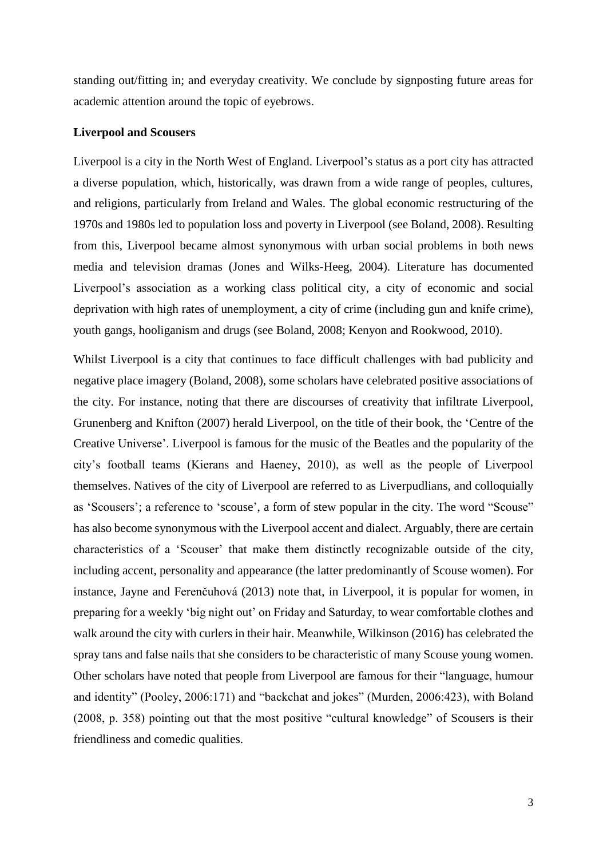standing out/fitting in; and everyday creativity. We conclude by signposting future areas for academic attention around the topic of eyebrows.

#### **Liverpool and Scousers**

Liverpool is a city in the North West of England. Liverpool's status as a port city has attracted a diverse population, which, historically, was drawn from a wide range of peoples, cultures, and religions, particularly from Ireland and Wales. The global economic restructuring of the 1970s and 1980s led to population loss and poverty in Liverpool (see Boland, 2008). Resulting from this, Liverpool became almost synonymous with urban social problems in both news media and television dramas (Jones and Wilks-Heeg, 2004). Literature has documented Liverpool's association as a working class political city, a city of economic and social deprivation with high rates of unemployment, a city of crime (including gun and knife crime), youth gangs, hooliganism and drugs (see Boland, 2008; Kenyon and Rookwood, 2010).

Whilst Liverpool is a city that continues to face difficult challenges with bad publicity and negative place imagery (Boland, 2008), some scholars have celebrated positive associations of the city. For instance, noting that there are discourses of creativity that infiltrate Liverpool, Grunenberg and Knifton (2007) herald Liverpool, on the title of their book, the 'Centre of the Creative Universe'. Liverpool is famous for the music of the Beatles and the popularity of the city's football teams (Kierans and Haeney, 2010), as well as the people of Liverpool themselves. Natives of the city of Liverpool are referred to as Liverpudlians, and colloquially as 'Scousers'; a reference to ['scouse'](https://en.wikipedia.org/wiki/Scouse_(food)), a form of stew popular in the city. The word "Scouse" has also become synonymous with the [Liverpool accent and dialect.](https://en.wikipedia.org/wiki/Scouse) Arguably, there are certain characteristics of a 'Scouser' that make them distinctly recognizable outside of the city, including accent, personality and appearance (the latter predominantly of Scouse women). For instance, Jayne and Ferenčuhová (2013) note that, in Liverpool, it is popular for women, in preparing for a weekly 'big night out' on Friday and Saturday, to wear comfortable clothes and walk around the city with curlers in their hair. Meanwhile, Wilkinson (2016) has celebrated the spray tans and false nails that she considers to be characteristic of many Scouse young women. Other scholars have noted that people from Liverpool are famous for their "language, humour and identity" (Pooley, 2006:171) and "backchat and jokes" (Murden, 2006:423), with Boland (2008, p. 358) pointing out that the most positive "cultural knowledge" of Scousers is their friendliness and comedic qualities.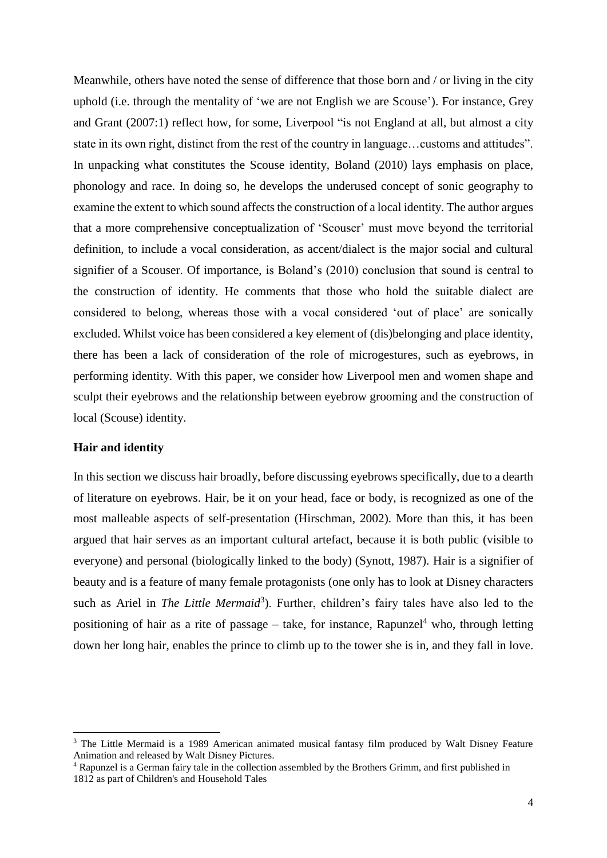Meanwhile, others have noted the sense of difference that those born and / or living in the city uphold (i.e. through the mentality of 'we are not English we are Scouse'). For instance, Grey and Grant (2007:1) reflect how, for some, Liverpool "is not England at all, but almost a city state in its own right, distinct from the rest of the country in language…customs and attitudes". In unpacking what constitutes the Scouse identity, Boland (2010) lays emphasis on place, phonology and race. In doing so, he develops the underused concept of sonic geography to examine the extent to which sound affects the construction of a local identity. The author argues that a more comprehensive conceptualization of 'Scouser' must move beyond the territorial definition, to include a vocal consideration, as accent/dialect is the major social and cultural signifier of a Scouser. Of importance, is Boland's (2010) conclusion that sound is central to the construction of identity. He comments that those who hold the suitable dialect are considered to belong, whereas those with a vocal considered 'out of place' are sonically excluded. Whilst voice has been considered a key element of (dis)belonging and place identity, there has been a lack of consideration of the role of microgestures, such as eyebrows, in performing identity. With this paper, we consider how Liverpool men and women shape and sculpt their eyebrows and the relationship between eyebrow grooming and the construction of local (Scouse) identity.

#### **Hair and identity**

**.** 

In this section we discuss hair broadly, before discussing eyebrows specifically, due to a dearth of literature on eyebrows. Hair, be it on your head, face or body, is recognized as one of the most malleable aspects of self-presentation (Hirschman, 2002). More than this, it has been argued that hair serves as an important cultural artefact, because it is both public (visible to everyone) and personal (biologically linked to the body) (Synott, 1987). Hair is a signifier of beauty and is a feature of many female protagonists (one only has to look at Disney characters such as Ariel in *The Little Mermaid*<sup>3</sup>). Further, children's fairy tales have also led to the positioning of hair as a rite of passage – take, for instance, Rapunzel<sup>4</sup> who, through letting down her long hair, enables the prince to climb up to the tower she is in, and they fall in love.

<sup>&</sup>lt;sup>3</sup> The Little Mermaid is a 1989 American animated musical fantasy film produced by Walt Disney Feature Animation and released by Walt Disney Pictures.

<sup>4</sup> Rapunzel is a German fairy tale in the collection assembled by the Brothers Grimm, and first published in 1812 as part of Children's and Household Tales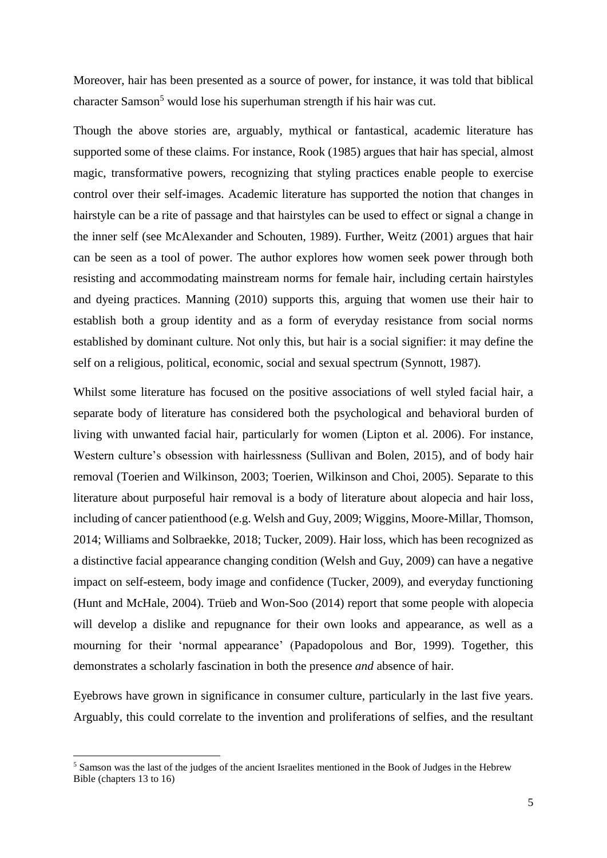Moreover, hair has been presented as a source of power, for instance, it was told that biblical character Samson<sup>5</sup> would lose his superhuman strength if his hair was cut.

Though the above stories are, arguably, mythical or fantastical, academic literature has supported some of these claims. For instance, Rook (1985) argues that hair has special, almost magic, transformative powers, recognizing that styling practices enable people to exercise control over their self-images. Academic literature has supported the notion that changes in hairstyle can be a rite of passage and that hairstyles can be used to effect or signal a change in the inner self (see McAlexander and Schouten, 1989). Further, Weitz (2001) argues that hair can be seen as a tool of power. The author explores how women seek power through both resisting and accommodating mainstream norms for female hair, including certain hairstyles and dyeing practices. Manning (2010) supports this, arguing that women use their hair to establish both a group identity and as a form of everyday resistance from social norms established by dominant culture. Not only this, but hair is a social signifier: it may define the self on a religious, political, economic, social and sexual spectrum (Synnott, 1987).

Whilst some literature has focused on the positive associations of well styled facial hair, a separate body of literature has considered both the psychological and behavioral burden of living with unwanted facial hair, particularly for women (Lipton et al. 2006). For instance, Western culture's obsession with hairlessness (Sullivan and Bolen, 2015), and of body hair removal (Toerien and Wilkinson, 2003; Toerien, Wilkinson and Choi, 2005). Separate to this literature about purposeful hair removal is a body of literature about alopecia and hair loss, including of cancer patienthood (e.g. Welsh and Guy, 2009; Wiggins, Moore-Millar, Thomson, 2014; Williams and Solbraekke, 2018; Tucker, 2009). Hair loss, which has been recognized as a distinctive facial appearance changing condition (Welsh and Guy, 2009) can have a negative impact on self-esteem, body image and confidence (Tucker, 2009), and everyday functioning (Hunt and McHale, 2004). Trüeb and Won-Soo (2014) report that some people with alopecia will develop a dislike and repugnance for their own looks and appearance, as well as a mourning for their 'normal appearance' (Papadopolous and Bor, 1999). Together, this demonstrates a scholarly fascination in both the presence *and* absence of hair.

Eyebrows have grown in significance in consumer culture, particularly in the last five years. Arguably, this could correlate to the invention and proliferations of selfies, and the resultant

1

<sup>5</sup> Samson was the last of the [judges](https://en.wikipedia.org/wiki/Biblical_judges) of the ancient [Israelites](https://en.wikipedia.org/wiki/Israelites) mentioned in the [Book of Judges](https://en.wikipedia.org/wiki/Book_of_Judges) in the [Hebrew](https://en.wikipedia.org/wiki/Hebrew_Bible)  [Bible](https://en.wikipedia.org/wiki/Hebrew_Bible) (chapters 13 to 16)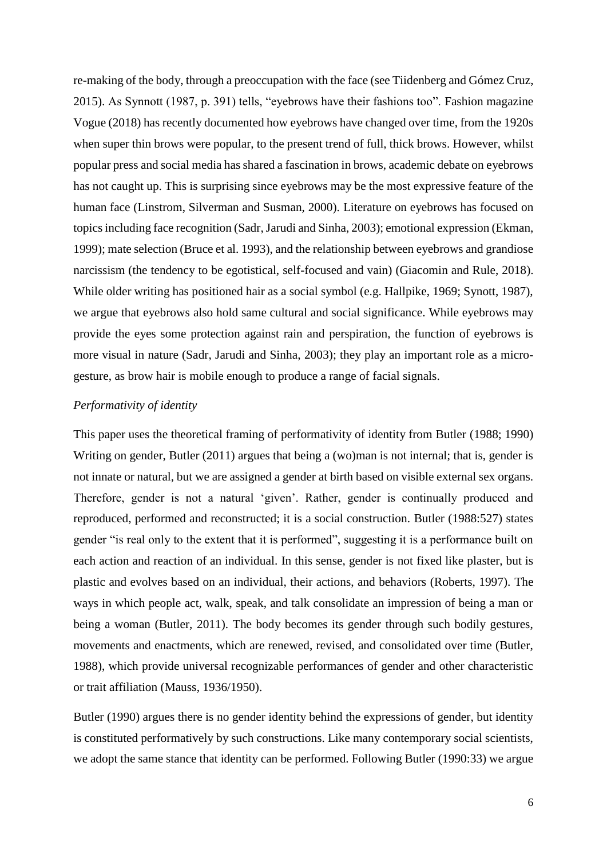re-making of the body, through a preoccupation with the face (see Tiidenberg and Gómez Cruz, 2015). As Synnott (1987, p. 391) tells, "eyebrows have their fashions too". Fashion magazine Vogue (2018) has recently documented how eyebrows have changed over time, from the 1920s when super thin brows were popular, to the present trend of full, thick brows. However, whilst popular press and social media has shared a fascination in brows, academic debate on eyebrows has not caught up. This is surprising since eyebrows may be the most expressive feature of the human face (Linstrom, Silverman and Susman, 2000). Literature on eyebrows has focused on topics including face recognition (Sadr, Jarudi and Sinha, 2003); emotional expression (Ekman, 1999); mate selection (Bruce et al. 1993), and the relationship between eyebrows and grandiose narcissism (the tendency to be egotistical, self-focused and vain) (Giacomin and Rule, 2018). While older writing has positioned hair as a social symbol (e.g. Hallpike, 1969; Synott, 1987), we argue that eyebrows also hold same cultural and social significance. While eyebrows may provide the eyes some protection against rain and perspiration, the function of eyebrows is more visual in nature (Sadr, Jarudi and Sinha, 2003); they play an important role as a microgesture, as brow hair is mobile enough to produce a range of facial signals.

#### *Performativity of identity*

This paper uses the theoretical framing of performativity of identity from Butler (1988; 1990) Writing on gender, Butler (2011) argues that being a (wo)man is not internal; that is, gender is not innate or natural, but we are assigned a gender at birth based on visible external sex organs. Therefore, gender is not a natural 'given'. Rather, gender is continually produced and reproduced, performed and reconstructed; it is a social construction. Butler (1988:527) states gender "is real only to the extent that it is performed", suggesting it is a performance built on each action and reaction of an individual. In this sense, gender is not fixed like plaster, but is plastic and evolves based on an individual, their actions, and behaviors (Roberts, 1997). The ways in which people act, walk, speak, and talk consolidate an impression of being a man or being a woman (Butler, 2011). The body becomes its gender through such bodily gestures, movements and enactments, which are renewed, revised, and consolidated over time (Butler, 1988), which provide universal recognizable performances of gender and other characteristic or trait affiliation (Mauss, 1936/1950).

Butler (1990) argues there is no gender identity behind the expressions of gender, but identity is constituted performatively by such constructions. Like many contemporary social scientists, we adopt the same stance that identity can be performed. Following Butler (1990:33) we argue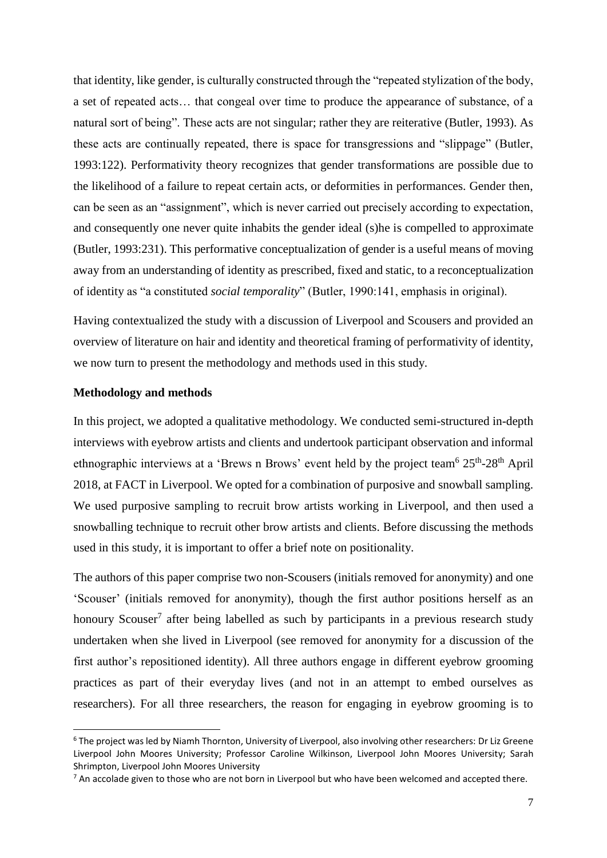that identity, like gender, is culturally constructed through the "repeated stylization of the body, a set of repeated acts… that congeal over time to produce the appearance of substance, of a natural sort of being". These acts are not singular; rather they are reiterative (Butler, 1993). As these acts are continually repeated, there is space for transgressions and "slippage" (Butler, 1993:122). Performativity theory recognizes that gender transformations are possible due to the likelihood of a failure to repeat certain acts, or deformities in performances. Gender then, can be seen as an "assignment", which is never carried out precisely according to expectation, and consequently one never quite inhabits the gender ideal (s)he is compelled to approximate (Butler, 1993:231). This performative conceptualization of gender is a useful means of moving away from an understanding of identity as prescribed, fixed and static, to a reconceptualization of identity as "a constituted *social temporality*" (Butler, 1990:141, emphasis in original).

Having contextualized the study with a discussion of Liverpool and Scousers and provided an overview of literature on hair and identity and theoretical framing of performativity of identity, we now turn to present the methodology and methods used in this study.

#### **Methodology and methods**

1

In this project, we adopted a qualitative methodology. We conducted semi-structured in-depth interviews with eyebrow artists and clients and undertook participant observation and informal ethnographic interviews at a 'Brews n Brows' event held by the project team<sup>6</sup>  $25<sup>th</sup>$ - $28<sup>th</sup>$  April 2018, at FACT in Liverpool. We opted for a combination of purposive and snowball sampling. We used purposive sampling to recruit brow artists working in Liverpool, and then used a snowballing technique to recruit other brow artists and clients. Before discussing the methods used in this study, it is important to offer a brief note on positionality.

The authors of this paper comprise two non-Scousers (initials removed for anonymity) and one 'Scouser' (initials removed for anonymity), though the first author positions herself as an honoury Scouser<sup>7</sup> after being labelled as such by participants in a previous research study undertaken when she lived in Liverpool (see removed for anonymity for a discussion of the first author's repositioned identity). All three authors engage in different eyebrow grooming practices as part of their everyday lives (and not in an attempt to embed ourselves as researchers). For all three researchers, the reason for engaging in eyebrow grooming is to

<sup>&</sup>lt;sup>6</sup> The project was led by Niamh Thornton, University of Liverpool, also involving other researchers: Dr Liz Greene [Liverpool John Moores University;](https://www.ljmu.ac.uk/about-us/staff-profiles/faculty-of-arts-professional-and-social-studies/liverpool-screen-school/liz-greene) [Professor Caroline Wilkinson, Liverpool John Moores University;](https://www.ljmu.ac.uk/about-us/staff-profiles/faculty-of-arts-professional-and-social-studies/liverpool-school-of-art-and-design/caroline-wilkinson) [Sarah](https://www.ljmu.ac.uk/about-us/staff-profiles/faculty-of-arts-professional-and-social-studies/liverpool-school-of-art-and-design/sarah-shrimpton)  [Shrimpton, Liverpool John Moores University](https://www.ljmu.ac.uk/about-us/staff-profiles/faculty-of-arts-professional-and-social-studies/liverpool-school-of-art-and-design/sarah-shrimpton)

 $7$  An accolade given to those who are not born in Liverpool but who have been welcomed and accepted there.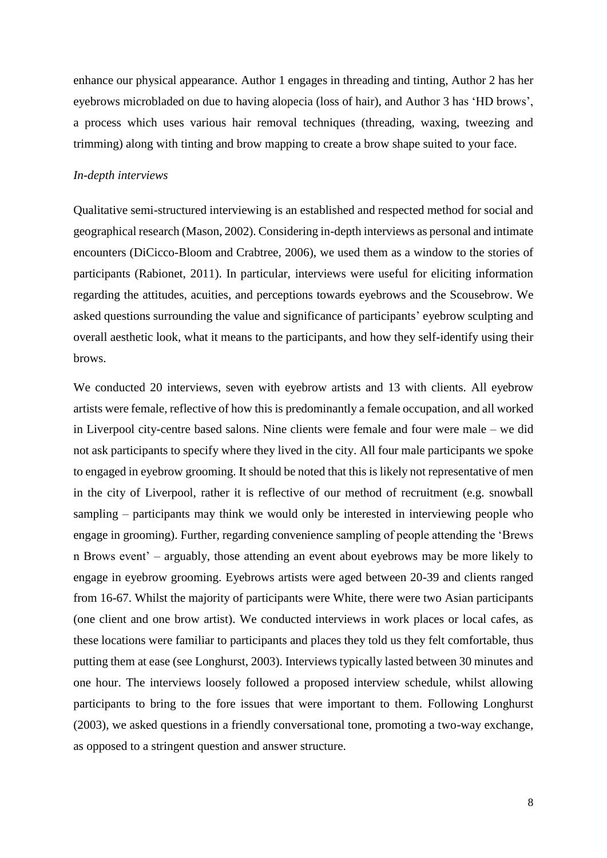enhance our physical appearance. Author 1 engages in threading and tinting, Author 2 has her eyebrows microbladed on due to having alopecia (loss of hair), and Author 3 has 'HD brows', a process which uses various hair removal techniques (threading, waxing, tweezing and trimming) along with tinting and brow mapping to create a brow shape suited to your face.

#### *In-depth interviews*

Qualitative semi-structured interviewing is an established and respected method for social and geographical research (Mason, 2002). Considering in-depth interviews as personal and intimate encounters (DiCicco-Bloom and Crabtree, 2006), we used them as a window to the stories of participants (Rabionet, 2011). In particular, interviews were useful for eliciting information regarding the attitudes, acuities, and perceptions towards eyebrows and the Scousebrow. We asked questions surrounding the value and significance of participants' eyebrow sculpting and overall aesthetic look, what it means to the participants, and how they self-identify using their brows.

We conducted 20 interviews, seven with eyebrow artists and 13 with clients. All eyebrow artists were female, reflective of how this is predominantly a female occupation, and all worked in Liverpool city-centre based salons. Nine clients were female and four were male – we did not ask participants to specify where they lived in the city. All four male participants we spoke to engaged in eyebrow grooming. It should be noted that this is likely not representative of men in the city of Liverpool, rather it is reflective of our method of recruitment (e.g. snowball sampling – participants may think we would only be interested in interviewing people who engage in grooming). Further, regarding convenience sampling of people attending the 'Brews n Brows event' – arguably, those attending an event about eyebrows may be more likely to engage in eyebrow grooming. Eyebrows artists were aged between 20-39 and clients ranged from 16-67. Whilst the majority of participants were White, there were two Asian participants (one client and one brow artist). We conducted interviews in work places or local cafes, as these locations were familiar to participants and places they told us they felt comfortable, thus putting them at ease (see Longhurst, 2003). Interviews typically lasted between 30 minutes and one hour. The interviews loosely followed a proposed interview schedule, whilst allowing participants to bring to the fore issues that were important to them. Following Longhurst (2003), we asked questions in a friendly conversational tone, promoting a two-way exchange, as opposed to a stringent question and answer structure.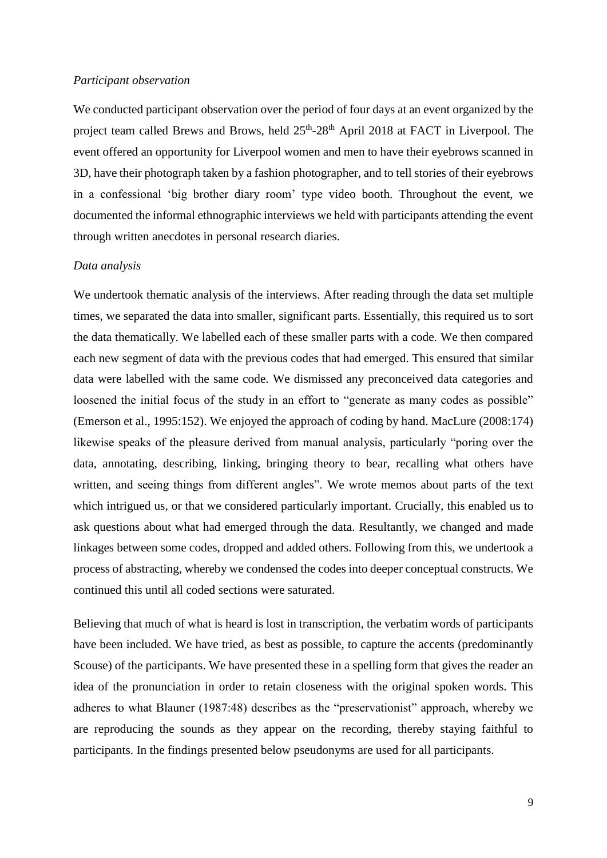#### *Participant observation*

We conducted participant observation over the period of four days at an event organized by the project team called Brews and Brows, held  $25<sup>th</sup>-28<sup>th</sup>$  April 2018 at FACT in Liverpool. The event offered an opportunity for Liverpool women and men to have their eyebrows scanned in 3D, have their photograph taken by a fashion photographer, and to tell stories of their eyebrows in a confessional 'big brother diary room' type video booth. Throughout the event, we documented the informal ethnographic interviews we held with participants attending the event through written anecdotes in personal research diaries.

#### *Data analysis*

We undertook thematic analysis of the interviews. After reading through the data set multiple times, we separated the data into smaller, significant parts. Essentially, this required us to sort the data thematically. We labelled each of these smaller parts with a code. We then compared each new segment of data with the previous codes that had emerged. This ensured that similar data were labelled with the same code. We dismissed any preconceived data categories and loosened the initial focus of the study in an effort to "generate as many codes as possible" (Emerson et al., 1995:152). We enjoyed the approach of coding by hand. MacLure (2008:174) likewise speaks of the pleasure derived from manual analysis, particularly "poring over the data, annotating, describing, linking, bringing theory to bear, recalling what others have written, and seeing things from different angles". We wrote memos about parts of the text which intrigued us, or that we considered particularly important. Crucially, this enabled us to ask questions about what had emerged through the data. Resultantly, we changed and made linkages between some codes, dropped and added others. Following from this, we undertook a process of abstracting, whereby we condensed the codes into deeper conceptual constructs. We continued this until all coded sections were saturated.

Believing that much of what is heard is lost in transcription, the verbatim words of participants have been included. We have tried, as best as possible, to capture the accents (predominantly Scouse) of the participants. We have presented these in a spelling form that gives the reader an idea of the pronunciation in order to retain closeness with the original spoken words. This adheres to what Blauner (1987:48) describes as the "preservationist" approach, whereby we are reproducing the sounds as they appear on the recording, thereby staying faithful to participants. In the findings presented below pseudonyms are used for all participants.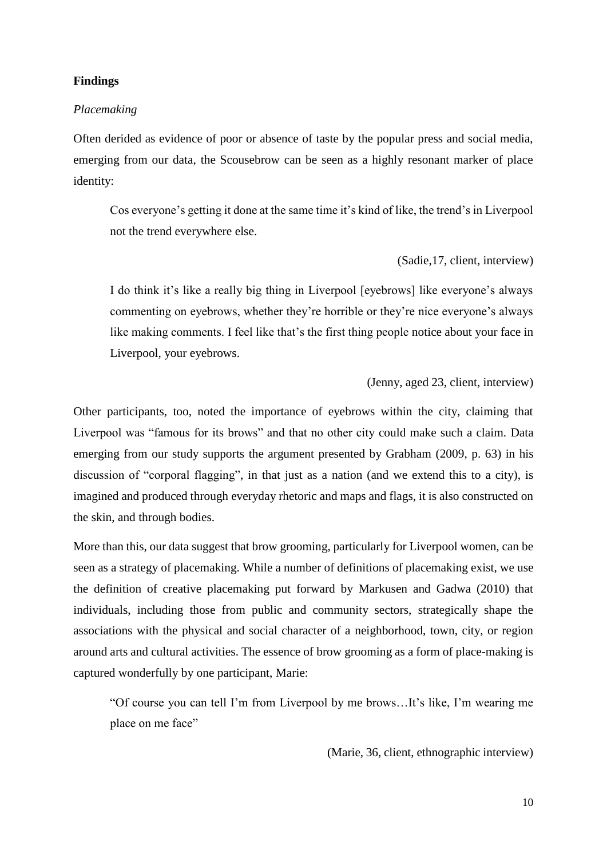## **Findings**

#### *Placemaking*

Often derided as evidence of poor or absence of taste by the popular press and social media, emerging from our data, the Scousebrow can be seen as a highly resonant marker of place identity:

Cos everyone's getting it done at the same time it's kind of like, the trend's in Liverpool not the trend everywhere else.

#### (Sadie,17, client, interview)

I do think it's like a really big thing in Liverpool [eyebrows] like everyone's always commenting on eyebrows, whether they're horrible or they're nice everyone's always like making comments. I feel like that's the first thing people notice about your face in Liverpool, your eyebrows.

#### (Jenny, aged 23, client, interview)

Other participants, too, noted the importance of eyebrows within the city, claiming that Liverpool was "famous for its brows" and that no other city could make such a claim. Data emerging from our study supports the argument presented by Grabham (2009, p. 63) in his discussion of "corporal flagging", in that just as a nation (and we extend this to a city), is imagined and produced through everyday rhetoric and maps and flags, it is also constructed on the skin, and through bodies.

More than this, our data suggest that brow grooming, particularly for Liverpool women, can be seen as a strategy of placemaking. While a number of definitions of placemaking exist, we use the definition of creative placemaking put forward by Markusen and Gadwa (2010) that individuals, including those from public and community sectors, strategically shape the associations with the physical and social character of a neighborhood, town, city, or region around arts and cultural activities. The essence of brow grooming as a form of place-making is captured wonderfully by one participant, Marie:

"Of course you can tell I'm from Liverpool by me brows…It's like, I'm wearing me place on me face"

(Marie, 36, client, ethnographic interview)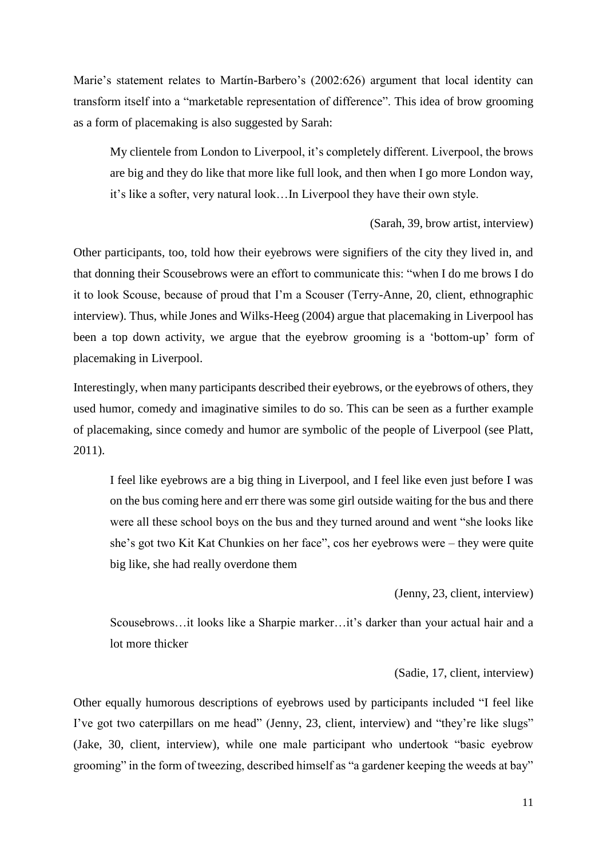Marie's statement relates to Martín-Barbero's (2002:626) argument that local identity can transform itself into a "marketable representation of difference". This idea of brow grooming as a form of placemaking is also suggested by Sarah:

My clientele from London to Liverpool, it's completely different. Liverpool, the brows are big and they do like that more like full look, and then when I go more London way, it's like a softer, very natural look…In Liverpool they have their own style.

(Sarah, 39, brow artist, interview)

Other participants, too, told how their eyebrows were signifiers of the city they lived in, and that donning their Scousebrows were an effort to communicate this: "when I do me brows I do it to look Scouse, because of proud that I'm a Scouser (Terry-Anne, 20, client, ethnographic interview). Thus, while Jones and Wilks-Heeg (2004) argue that placemaking in Liverpool has been a top down activity, we argue that the eyebrow grooming is a 'bottom-up' form of placemaking in Liverpool.

Interestingly, when many participants described their eyebrows, or the eyebrows of others, they used humor, comedy and imaginative similes to do so. This can be seen as a further example of placemaking, since comedy and humor are symbolic of the people of Liverpool (see Platt, 2011).

I feel like eyebrows are a big thing in Liverpool, and I feel like even just before I was on the bus coming here and err there was some girl outside waiting for the bus and there were all these school boys on the bus and they turned around and went "she looks like she's got two Kit Kat Chunkies on her face", cos her eyebrows were – they were quite big like, she had really overdone them

(Jenny, 23, client, interview)

Scousebrows…it looks like a Sharpie marker…it's darker than your actual hair and a lot more thicker

(Sadie, 17, client, interview)

Other equally humorous descriptions of eyebrows used by participants included "I feel like I've got two caterpillars on me head" (Jenny, 23, client, interview) and "they're like slugs" (Jake, 30, client, interview), while one male participant who undertook "basic eyebrow grooming" in the form of tweezing, described himself as "a gardener keeping the weeds at bay"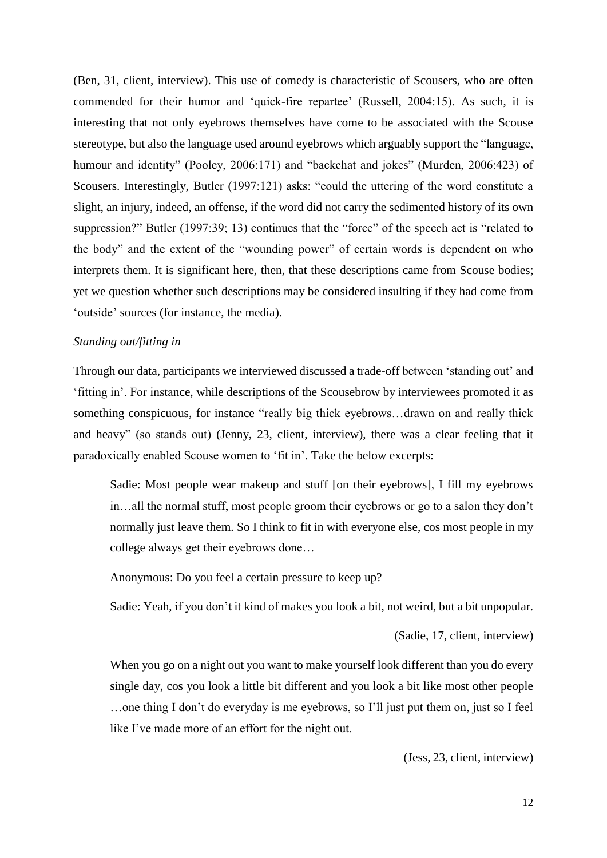(Ben, 31, client, interview). This use of comedy is characteristic of Scousers, who are often commended for their humor and 'quick-fire repartee' (Russell, 2004:15). As such, it is interesting that not only eyebrows themselves have come to be associated with the Scouse stereotype, but also the language used around eyebrows which arguably support the "language, humour and identity" (Pooley, 2006:171) and "backchat and jokes" (Murden, 2006:423) of Scousers. Interestingly, Butler (1997:121) asks: "could the uttering of the word constitute a slight, an injury, indeed, an offense, if the word did not carry the sedimented history of its own suppression?" Butler (1997:39; 13) continues that the "force" of the speech act is "related to the body" and the extent of the "wounding power" of certain words is dependent on who interprets them. It is significant here, then, that these descriptions came from Scouse bodies; yet we question whether such descriptions may be considered insulting if they had come from 'outside' sources (for instance, the media).

## *Standing out/fitting in*

Through our data, participants we interviewed discussed a trade-off between 'standing out' and 'fitting in'. For instance, while descriptions of the Scousebrow by interviewees promoted it as something conspicuous, for instance "really big thick eyebrows…drawn on and really thick and heavy" (so stands out) (Jenny, 23, client, interview), there was a clear feeling that it paradoxically enabled Scouse women to 'fit in'. Take the below excerpts:

Sadie: Most people wear makeup and stuff [on their eyebrows], I fill my eyebrows in…all the normal stuff, most people groom their eyebrows or go to a salon they don't normally just leave them. So I think to fit in with everyone else, cos most people in my college always get their eyebrows done…

Anonymous: Do you feel a certain pressure to keep up?

Sadie: Yeah, if you don't it kind of makes you look a bit, not weird, but a bit unpopular.

(Sadie, 17, client, interview)

When you go on a night out you want to make yourself look different than you do every single day, cos you look a little bit different and you look a bit like most other people …one thing I don't do everyday is me eyebrows, so I'll just put them on, just so I feel like I've made more of an effort for the night out.

(Jess, 23, client, interview)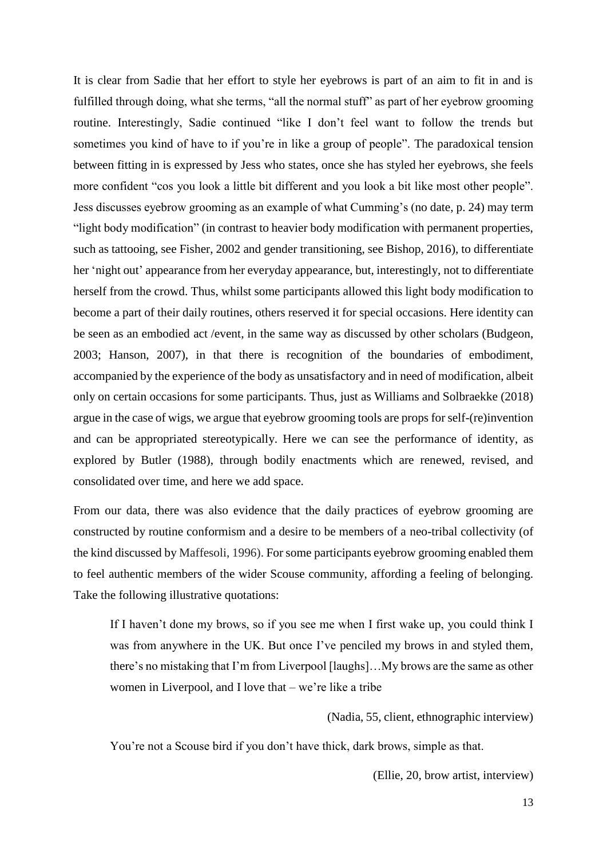It is clear from Sadie that her effort to style her eyebrows is part of an aim to fit in and is fulfilled through doing, what she terms, "all the normal stuff" as part of her eyebrow grooming routine. Interestingly, Sadie continued "like I don't feel want to follow the trends but sometimes you kind of have to if you're in like a group of people". The paradoxical tension between fitting in is expressed by Jess who states, once she has styled her eyebrows, she feels more confident "cos you look a little bit different and you look a bit like most other people". Jess discusses eyebrow grooming as an example of what Cumming's (no date, p. 24) may term "light body modification" (in contrast to heavier body modification with permanent properties, such as tattooing, see Fisher, 2002 and gender transitioning, see Bishop, 2016), to differentiate her 'night out' appearance from her everyday appearance, but, interestingly, not to differentiate herself from the crowd. Thus, whilst some participants allowed this light body modification to become a part of their daily routines, others reserved it for special occasions. Here identity can be seen as an embodied act /event, in the same way as discussed by other scholars (Budgeon, 2003; Hanson, 2007), in that there is recognition of the boundaries of embodiment, accompanied by the experience of the body as unsatisfactory and in need of modification, albeit only on certain occasions for some participants. Thus, just as Williams and Solbraekke (2018) argue in the case of wigs, we argue that eyebrow grooming tools are props for self-(re)invention and can be appropriated stereotypically. Here we can see the performance of identity, as explored by Butler (1988), through bodily enactments which are renewed, revised, and consolidated over time, and here we add space.

From our data, there was also evidence that the daily practices of eyebrow grooming are constructed by routine conformism and a desire to be members of a neo-tribal collectivity (of the kind discussed by Maffesoli, 1996). For some participants eyebrow grooming enabled them to feel authentic members of the wider Scouse community, affording a feeling of belonging. Take the following illustrative quotations:

If I haven't done my brows, so if you see me when I first wake up, you could think I was from anywhere in the UK. But once I've penciled my brows in and styled them, there's no mistaking that I'm from Liverpool [laughs]…My brows are the same as other women in Liverpool, and I love that – we're like a tribe

(Nadia, 55, client, ethnographic interview)

You're not a Scouse bird if you don't have thick, dark brows, simple as that.

(Ellie, 20, brow artist, interview)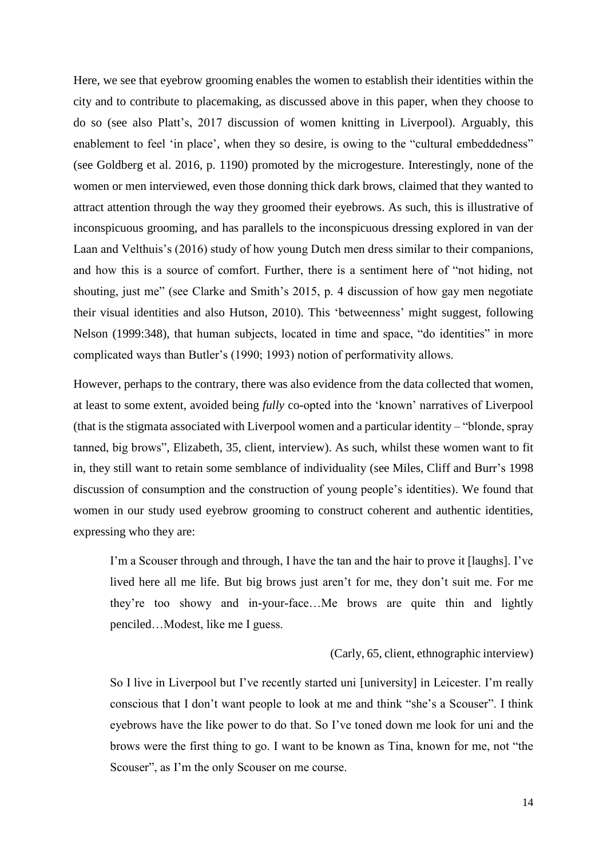Here, we see that eyebrow grooming enables the women to establish their identities within the city and to contribute to placemaking, as discussed above in this paper, when they choose to do so (see also Platt's, 2017 discussion of women knitting in Liverpool). Arguably, this enablement to feel 'in place', when they so desire, is owing to the "cultural embeddedness" (see Goldberg et al. 2016, p. 1190) promoted by the microgesture. Interestingly, none of the women or men interviewed, even those donning thick dark brows, claimed that they wanted to attract attention through the way they groomed their eyebrows. As such, this is illustrative of inconspicuous grooming, and has parallels to the inconspicuous dressing explored in van der Laan and Velthuis's (2016) study of how young Dutch men dress similar to their companions, and how this is a source of comfort. Further, there is a sentiment here of "not hiding, not shouting, just me" (see Clarke and Smith's 2015, p. 4 discussion of how gay men negotiate their visual identities and also Hutson, 2010). This 'betweenness' might suggest, following Nelson (1999:348), that human subjects, located in time and space, "do identities" in more complicated ways than Butler's (1990; 1993) notion of performativity allows.

However, perhaps to the contrary, there was also evidence from the data collected that women, at least to some extent, avoided being *fully* co-opted into the 'known' narratives of Liverpool (that is the stigmata associated with Liverpool women and a particular identity – "blonde, spray tanned, big brows", Elizabeth, 35, client, interview). As such, whilst these women want to fit in, they still want to retain some semblance of individuality (see Miles, Cliff and Burr's 1998 discussion of consumption and the construction of young people's identities). We found that women in our study used eyebrow grooming to construct coherent and authentic identities, expressing who they are:

I'm a Scouser through and through, I have the tan and the hair to prove it [laughs]. I've lived here all me life. But big brows just aren't for me, they don't suit me. For me they're too showy and in-your-face…Me brows are quite thin and lightly penciled…Modest, like me I guess.

## (Carly, 65, client, ethnographic interview)

So I live in Liverpool but I've recently started uni [university] in Leicester. I'm really conscious that I don't want people to look at me and think "she's a Scouser". I think eyebrows have the like power to do that. So I've toned down me look for uni and the brows were the first thing to go. I want to be known as Tina, known for me, not "the Scouser", as I'm the only Scouser on me course.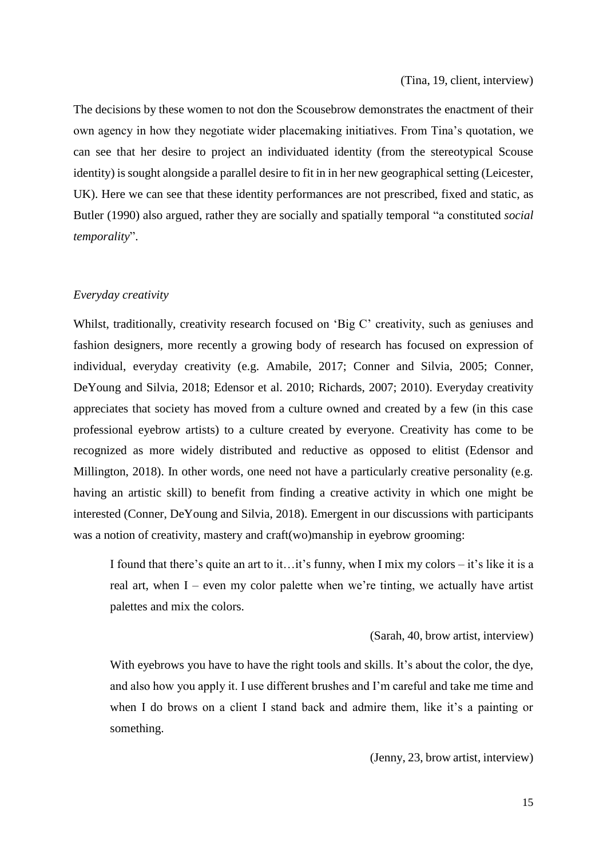The decisions by these women to not don the Scousebrow demonstrates the enactment of their own agency in how they negotiate wider placemaking initiatives. From Tina's quotation, we can see that her desire to project an individuated identity (from the stereotypical Scouse identity) is sought alongside a parallel desire to fit in in her new geographical setting (Leicester, UK). Here we can see that these identity performances are not prescribed, fixed and static, as Butler (1990) also argued, rather they are socially and spatially temporal "a constituted *social temporality*".

#### *Everyday creativity*

Whilst, traditionally, creativity research focused on 'Big C' creativity, such as geniuses and fashion designers, more recently a growing body of research has focused on expression of individual, everyday creativity (e.g. Amabile, 2017; Conner and Silvia, 2005; Conner, DeYoung and Silvia, 2018; Edensor et al. 2010; Richards, 2007; 2010). Everyday creativity appreciates that society has moved from a culture owned and created by a few (in this case professional eyebrow artists) to a culture created by everyone. Creativity has come to be recognized as more widely distributed and reductive as opposed to elitist (Edensor and Millington, 2018). In other words, one need not have a particularly creative personality (e.g. having an artistic skill) to benefit from finding a creative activity in which one might be interested (Conner, DeYoung and Silvia, 2018). Emergent in our discussions with participants was a notion of creativity, mastery and craft(wo)manship in eyebrow grooming:

I found that there's quite an art to it…it's funny, when I mix my colors – it's like it is a real art, when I – even my color palette when we're tinting, we actually have artist palettes and mix the colors.

(Sarah, 40, brow artist, interview)

With eyebrows you have to have the right tools and skills. It's about the color, the dye, and also how you apply it. I use different brushes and I'm careful and take me time and when I do brows on a client I stand back and admire them, like it's a painting or something.

(Jenny, 23, brow artist, interview)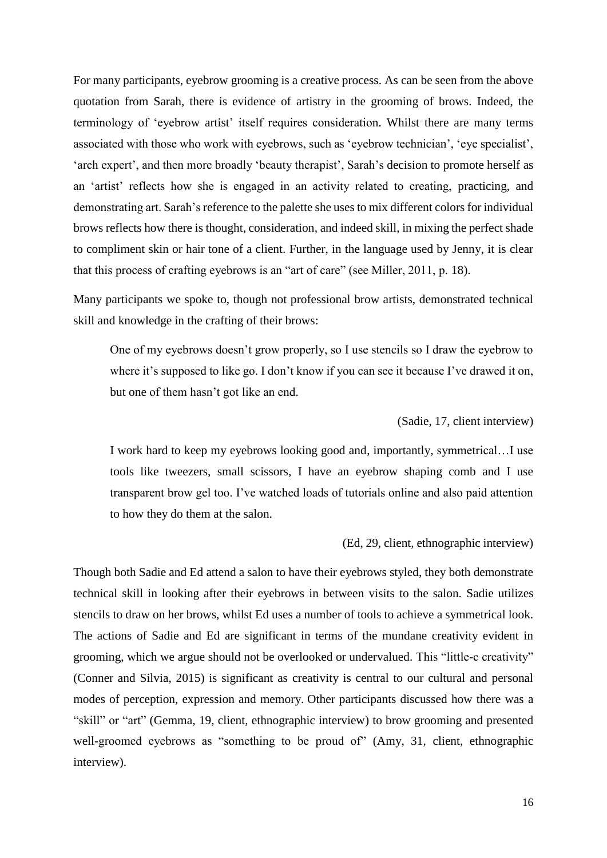For many participants, eyebrow grooming is a creative process. As can be seen from the above quotation from Sarah, there is evidence of artistry in the grooming of brows. Indeed, the terminology of 'eyebrow artist' itself requires consideration. Whilst there are many terms associated with those who work with eyebrows, such as 'eyebrow technician', 'eye specialist', 'arch expert', and then more broadly 'beauty therapist', Sarah's decision to promote herself as an 'artist' reflects how she is engaged in an activity related to creating, practicing, and demonstrating art. Sarah's reference to the palette she uses to mix different colors for individual brows reflects how there is thought, consideration, and indeed skill, in mixing the perfect shade to compliment skin or hair tone of a client. Further, in the language used by Jenny, it is clear that this process of crafting eyebrows is an "art of care" (see Miller, 2011, p. 18).

Many participants we spoke to, though not professional brow artists, demonstrated technical skill and knowledge in the crafting of their brows:

One of my eyebrows doesn't grow properly, so I use stencils so I draw the eyebrow to where it's supposed to like go. I don't know if you can see it because I've drawed it on, but one of them hasn't got like an end.

#### (Sadie, 17, client interview)

I work hard to keep my eyebrows looking good and, importantly, symmetrical…I use tools like tweezers, small scissors, I have an eyebrow shaping comb and I use transparent brow gel too. I've watched loads of tutorials online and also paid attention to how they do them at the salon.

#### (Ed, 29, client, ethnographic interview)

Though both Sadie and Ed attend a salon to have their eyebrows styled, they both demonstrate technical skill in looking after their eyebrows in between visits to the salon. Sadie utilizes stencils to draw on her brows, whilst Ed uses a number of tools to achieve a symmetrical look. The actions of Sadie and Ed are significant in terms of the mundane creativity evident in grooming, which we argue should not be overlooked or undervalued. This "little-c creativity" (Conner and Silvia, 2015) is significant as creativity is central to our cultural and personal modes of perception, expression and memory. Other participants discussed how there was a "skill" or "art" (Gemma, 19, client, ethnographic interview) to brow grooming and presented well-groomed eyebrows as "something to be proud of" (Amy, 31, client, ethnographic interview).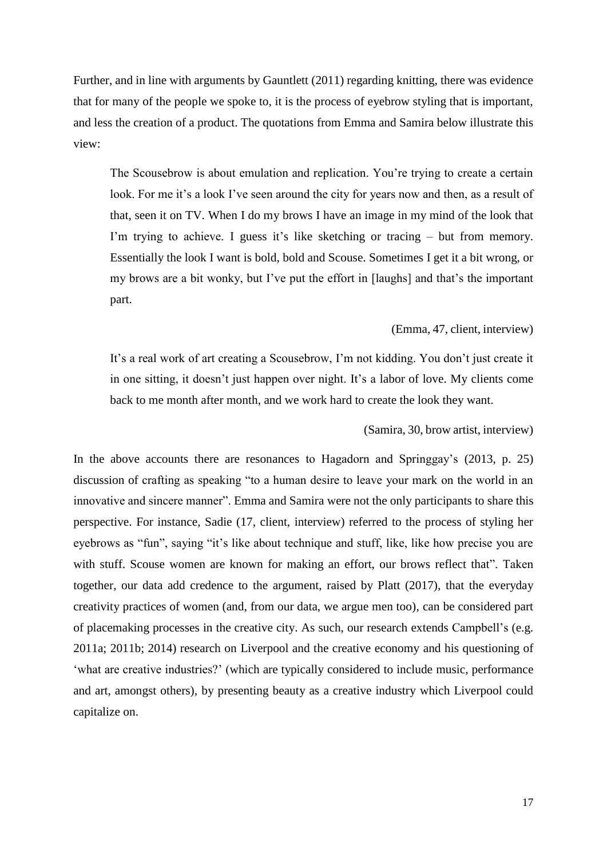Further, and in line with arguments by Gauntlett (2011) regarding knitting, there was evidence that for many of the people we spoke to, it is the process of eyebrow styling that is important, and less the creation of a product. The quotations from Emma and Samira below illustrate this view:

The Scousebrow is about emulation and replication. You're trying to create a certain look. For me it's a look I've seen around the city for years now and then, as a result of that, seen it on TV. When I do my brows I have an image in my mind of the look that I'm trying to achieve. I guess it's like sketching or tracing – but from memory. Essentially the look I want is bold, bold and Scouse. Sometimes I get it a bit wrong, or my brows are a bit wonky, but I've put the effort in [laughs] and that's the important part.

#### (Emma, 47, client, interview)

It's a real work of art creating a Scousebrow, I'm not kidding. You don't just create it in one sitting, it doesn't just happen over night. It's a labor of love. My clients come back to me month after month, and we work hard to create the look they want.

#### (Samira, 30, brow artist, interview)

In the above accounts there are resonances to Hagadorn and Springgay's (2013, p. 25) discussion of crafting as speaking "to a human desire to leave your mark on the world in an innovative and sincere manner". Emma and Samira were not the only participants to share this perspective. For instance, Sadie (17, client, interview) referred to the process of styling her eyebrows as "fun", saying "it's like about technique and stuff, like, like how precise you are with stuff. Scouse women are known for making an effort, our brows reflect that". Taken together, our data add credence to the argument, raised by Platt (2017), that the everyday creativity practices of women (and, from our data, we argue men too), can be considered part of placemaking processes in the creative city. As such, our research extends Campbell's (e.g. 2011a; 2011b; 2014) research on Liverpool and the creative economy and his questioning of 'what are creative industries?' (which are typically considered to include music, performance and art, amongst others), by presenting beauty as a creative industry which Liverpool could capitalize on.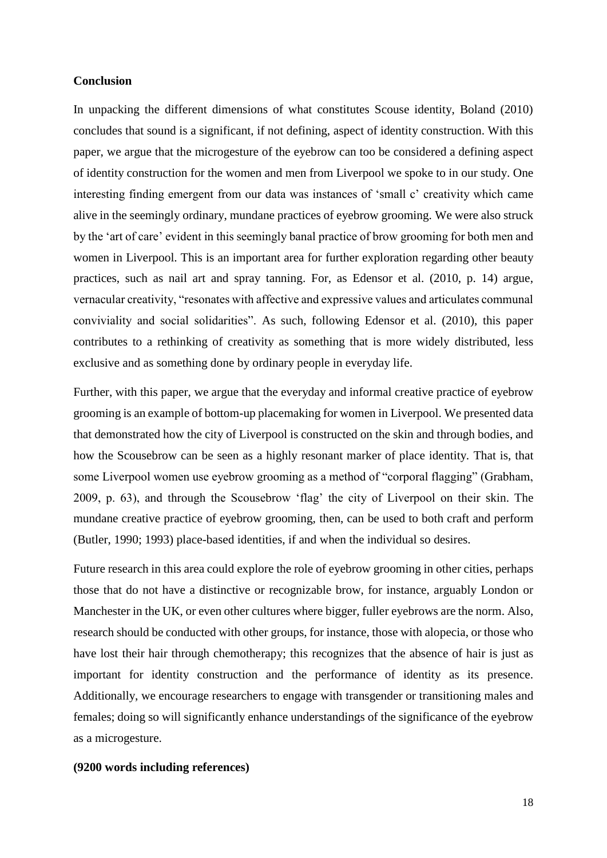#### **Conclusion**

In unpacking the different dimensions of what constitutes Scouse identity, Boland (2010) concludes that sound is a significant, if not defining, aspect of identity construction. With this paper, we argue that the microgesture of the eyebrow can too be considered a defining aspect of identity construction for the women and men from Liverpool we spoke to in our study. One interesting finding emergent from our data was instances of 'small c' creativity which came alive in the seemingly ordinary, mundane practices of eyebrow grooming. We were also struck by the 'art of care' evident in this seemingly banal practice of brow grooming for both men and women in Liverpool. This is an important area for further exploration regarding other beauty practices, such as nail art and spray tanning. For, as Edensor et al. (2010, p. 14) argue, vernacular creativity, "resonates with affective and expressive values and articulates communal conviviality and social solidarities". As such, following Edensor et al. (2010), this paper contributes to a rethinking of creativity as something that is more widely distributed, less exclusive and as something done by ordinary people in everyday life.

Further, with this paper, we argue that the everyday and informal creative practice of eyebrow grooming is an example of bottom-up placemaking for women in Liverpool. We presented data that demonstrated how the city of Liverpool is constructed on the skin and through bodies, and how the Scousebrow can be seen as a highly resonant marker of place identity. That is, that some Liverpool women use eyebrow grooming as a method of "corporal flagging" (Grabham, 2009, p. 63), and through the Scousebrow 'flag' the city of Liverpool on their skin. The mundane creative practice of eyebrow grooming, then, can be used to both craft and perform (Butler, 1990; 1993) place-based identities, if and when the individual so desires.

Future research in this area could explore the role of eyebrow grooming in other cities, perhaps those that do not have a distinctive or recognizable brow, for instance, arguably London or Manchester in the UK, or even other cultures where bigger, fuller eyebrows are the norm. Also, research should be conducted with other groups, for instance, those with alopecia, or those who have lost their hair through chemotherapy; this recognizes that the absence of hair is just as important for identity construction and the performance of identity as its presence. Additionally, we encourage researchers to engage with transgender or transitioning males and females; doing so will significantly enhance understandings of the significance of the eyebrow as a microgesture.

## **(9200 words including references)**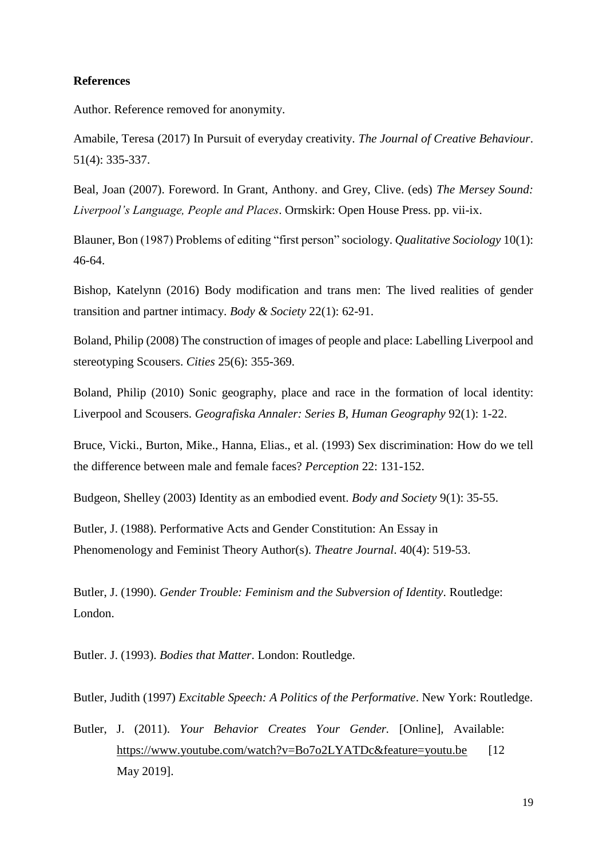#### **References**

Author. Reference removed for anonymity.

Amabile, Teresa (2017) In Pursuit of everyday creativity. *The Journal of Creative Behaviour*. 51(4): 335-337.

Beal, Joan (2007). Foreword. In Grant, Anthony. and Grey, Clive. (eds) *The Mersey Sound: Liverpool's Language, People and Places*. Ormskirk: Open House Press. pp. vii-ix.

Blauner, Bon (1987) Problems of editing "first person" sociology. *Qualitative Sociology* 10(1): 46-64.

Bishop, Katelynn (2016) Body modification and trans men: The lived realities of gender transition and partner intimacy. *Body & Society* 22(1): 62-91.

Boland, Philip (2008) The construction of images of people and place: Labelling Liverpool and stereotyping Scousers. *Cities* 25(6): 355-369.

Boland, Philip (2010) Sonic geography, place and race in the formation of local identity: Liverpool and Scousers. *Geografiska Annaler: Series B, Human Geography* 92(1): 1-22.

Bruce, Vicki., Burton, Mike., Hanna, Elias., et al. (1993) Sex discrimination: How do we tell the difference between male and female faces? *Perception* 22: 131-152.

Budgeon, Shelley (2003) Identity as an embodied event. *Body and Society* 9(1): 35-55.

Butler, J. (1988). Performative Acts and Gender Constitution: An Essay in Phenomenology and Feminist Theory Author(s). *Theatre Journal*. 40(4): 519-53.

Butler, J. (1990). *Gender Trouble: Feminism and the Subversion of Identity*. Routledge: London.

Butler. J. (1993). *Bodies that Matter*. London: Routledge.

Butler, Judith (1997) *Excitable Speech: A Politics of the Performative*. New York: Routledge.

Butler, J. (2011). *Your Behavior Creates Your Gender.* [Online], Available: https://www.youtube.com/watch?v=Bo7o2LYATDc&feature=youtu.be [12] May 2019].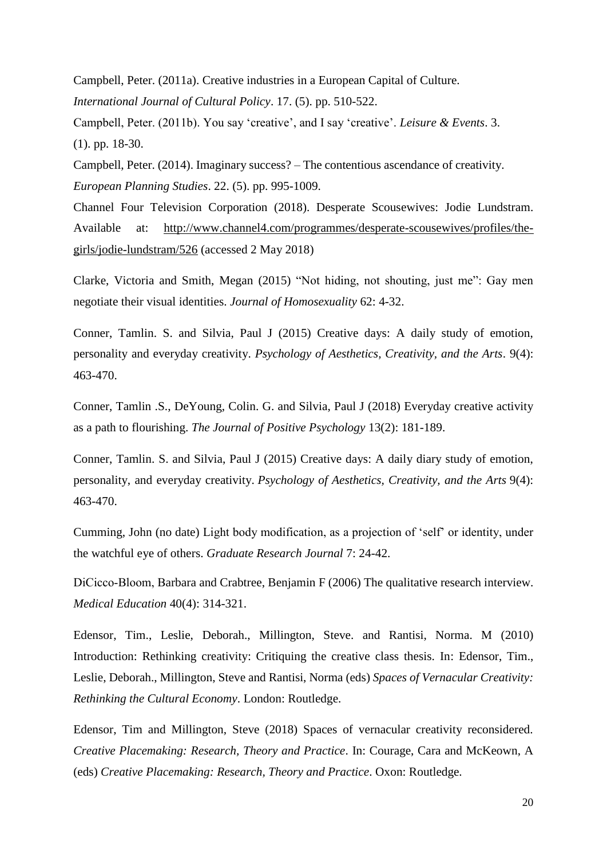Campbell, Peter. (2011a). Creative industries in a European Capital of Culture. *International Journal of Cultural Policy*. 17. (5). pp. 510-522.

Campbell, Peter. (2011b). You say 'creative', and I say 'creative'. *Leisure & Events*. 3. (1). pp. 18-30.

Campbell, Peter. (2014). Imaginary success? – The contentious ascendance of creativity. *European Planning Studies*. 22. (5). pp. 995-1009.

Channel Four Television Corporation (2018). Desperate Scousewives: Jodie Lundstram. Available at: [http://www.channel4.com/programmes/desperate-scousewives/profiles/the](http://www.channel4.com/programmes/desperate-scousewives/profiles/the-girls/jodie-lundstram/526)[girls/jodie-lundstram/526](http://www.channel4.com/programmes/desperate-scousewives/profiles/the-girls/jodie-lundstram/526) (accessed 2 May 2018)

Clarke, Victoria and Smith, Megan (2015) "Not hiding, not shouting, just me": Gay men negotiate their visual identities. *Journal of Homosexuality* 62: 4-32.

Conner, Tamlin. S. and Silvia, Paul J (2015) Creative days: A daily study of emotion, personality and everyday creativity. *Psychology of Aesthetics, Creativity, and the Arts*. 9(4): 463-470.

Conner, Tamlin .S., DeYoung, Colin. G. and Silvia, Paul J (2018) Everyday creative activity as a path to flourishing. *The Journal of Positive Psychology* 13(2): 181-189.

Conner, Tamlin. S. and Silvia, Paul J (2015) Creative days: A daily diary study of emotion, personality, and everyday creativity. *Psychology of Aesthetics, Creativity, and the Arts* 9(4): 463-470.

Cumming, John (no date) Light body modification, as a projection of 'self' or identity, under the watchful eye of others. *Graduate Research Journal* 7: 24-42.

DiCicco-Bloom, Barbara and Crabtree, Benjamin F (2006) The qualitative research interview. *Medical Education* 40(4): 314-321.

Edensor, Tim., Leslie, Deborah., Millington, Steve. and Rantisi, Norma. M (2010) Introduction: Rethinking creativity: Critiquing the creative class thesis. In: Edensor, Tim., Leslie, Deborah., Millington, Steve and Rantisi, Norma (eds) *Spaces of Vernacular Creativity: Rethinking the Cultural Economy*. London: Routledge.

Edensor, Tim and Millington, Steve (2018) Spaces of vernacular creativity reconsidered. *Creative Placemaking: Research, Theory and Practice*. In: Courage, Cara and McKeown, A (eds) *Creative Placemaking: Research, Theory and Practice*. Oxon: Routledge.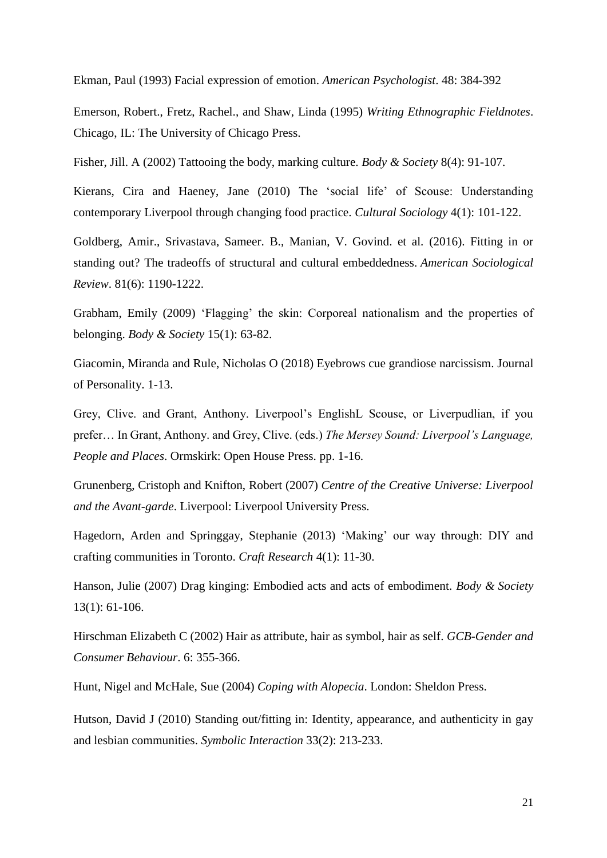Ekman, Paul (1993) Facial expression of emotion. *American Psychologist*. 48: 384-392

Emerson, Robert., Fretz, Rachel., and Shaw, Linda (1995) *Writing Ethnographic Fieldnotes*. Chicago, IL: The University of Chicago Press.

Fisher, Jill. A (2002) Tattooing the body, marking culture. *Body & Society* 8(4): 91-107.

Kierans, Cira and Haeney, Jane (2010) The 'social life' of Scouse: Understanding contemporary Liverpool through changing food practice. *Cultural Sociology* 4(1): 101-122.

Goldberg, Amir., Srivastava, Sameer. B., Manian, V. Govind. et al. (2016). Fitting in or standing out? The tradeoffs of structural and cultural embeddedness. *American Sociological Review*. 81(6): 1190-1222.

Grabham, Emily (2009) 'Flagging' the skin: Corporeal nationalism and the properties of belonging. *Body & Society* 15(1): 63-82.

Giacomin, Miranda and Rule, Nicholas O (2018) Eyebrows cue grandiose narcissism. Journal of Personality. 1-13.

Grey, Clive. and Grant, Anthony. Liverpool's EnglishL Scouse, or Liverpudlian, if you prefer… In Grant, Anthony. and Grey, Clive. (eds.) *The Mersey Sound: Liverpool's Language, People and Places*. Ormskirk: Open House Press. pp. 1-16.

Grunenberg, Cristoph and Knifton, Robert (2007) *Centre of the Creative Universe: Liverpool and the Avant-garde*. Liverpool: Liverpool University Press.

Hagedorn, Arden and Springgay, Stephanie (2013) 'Making' our way through: DIY and crafting communities in Toronto. *Craft Research* 4(1): 11-30.

Hanson, Julie (2007) Drag kinging: Embodied acts and acts of embodiment. *Body & Society* 13(1): 61-106.

Hirschman Elizabeth C (2002) Hair as attribute, hair as symbol, hair as self. *GCB-Gender and Consumer Behaviour*. 6: 355-366.

Hunt, Nigel and McHale, Sue (2004) *Coping with Alopecia*. London: Sheldon Press.

Hutson, David J (2010) Standing out/fitting in: Identity, appearance, and authenticity in gay and lesbian communities. *Symbolic Interaction* 33(2): 213-233.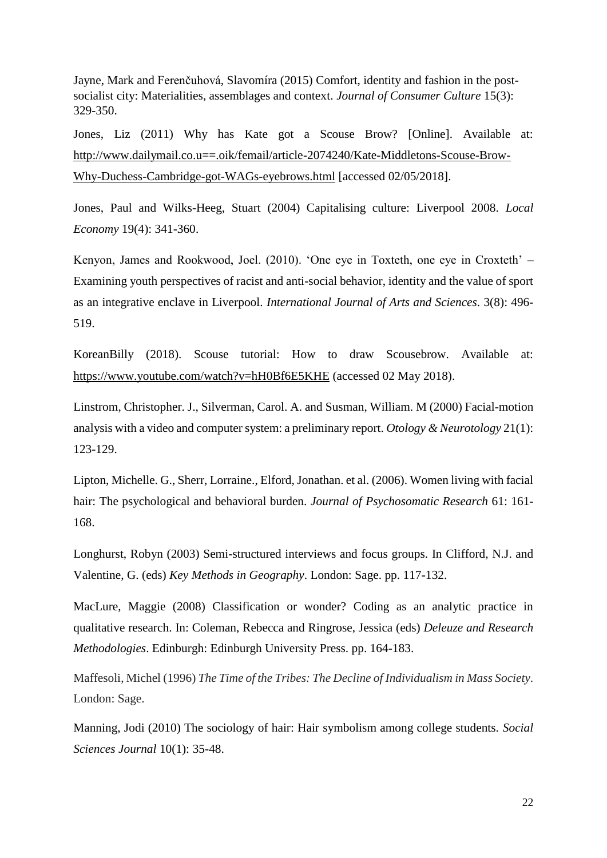Jayne, Mark and Ferenčuhová, Slavomíra (2015) Comfort, identity and fashion in the postsocialist city: Materialities, assemblages and context. *Journal of Consumer Culture* 15(3): 329-350.

Jones, Liz (2011) Why has Kate got a Scouse Brow? [Online]. Available at: [http://www.dailymail.co.u==.oik/femail/article-2074240/Kate-Middletons-Scouse-Brow-](http://www.dailymail.co.u==.oik/femail/article-2074240/Kate-Middletons-Scouse-Brow-Why-Duchess-Cambridge-got-WAGs-eyebrows.html)[Why-Duchess-Cambridge-got-WAGs-eyebrows.html](http://www.dailymail.co.u==.oik/femail/article-2074240/Kate-Middletons-Scouse-Brow-Why-Duchess-Cambridge-got-WAGs-eyebrows.html) [accessed 02/05/2018].

Jones, Paul and Wilks-Heeg, Stuart (2004) Capitalising culture: Liverpool 2008. *Local Economy* 19(4): 341-360.

Kenyon, James and Rookwood, Joel. (2010). 'One eye in Toxteth, one eye in Croxteth' – Examining youth perspectives of racist and anti-social behavior, identity and the value of sport as an integrative enclave in Liverpool. *International Journal of Arts and Sciences*. 3(8): 496- 519.

KoreanBilly (2018). Scouse tutorial: How to draw Scousebrow. Available at: <https://www.youtube.com/watch?v=hH0Bf6E5KHE> (accessed 02 May 2018).

Linstrom, Christopher. J., Silverman, Carol. A. and Susman, William. M (2000) Facial-motion analysis with a video and computer system: a preliminary report. *Otology & Neurotology* 21(1): 123-129.

Lipton, Michelle. G., Sherr, Lorraine., Elford, Jonathan. et al. (2006). Women living with facial hair: The psychological and behavioral burden. *Journal of Psychosomatic Research* 61: 161- 168.

Longhurst, Robyn (2003) Semi-structured interviews and focus groups. In Clifford, N.J. and Valentine, G. (eds) *Key Methods in Geography*. London: Sage. pp. 117-132.

MacLure, Maggie (2008) Classification or wonder? Coding as an analytic practice in qualitative research. In: Coleman, Rebecca and Ringrose, Jessica (eds) *Deleuze and Research Methodologies*. Edinburgh: Edinburgh University Press. pp. 164-183.

Maffesoli, Michel (1996) *The Time of the Tribes: The Decline of Individualism in Mass Society*. London: Sage.

Manning, Jodi (2010) The sociology of hair: Hair symbolism among college students. *Social Sciences Journal* 10(1): 35-48.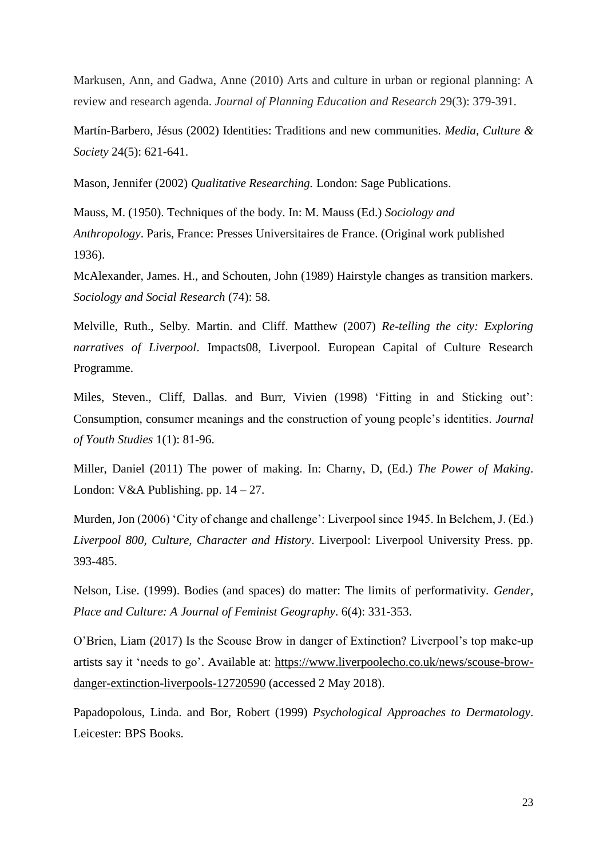Markusen, Ann, and Gadwa, Anne (2010) Arts and culture in urban or regional planning: A review and research agenda. *Journal of Planning Education and Research* 29(3): 379-391.

Martín-Barbero, Jésus (2002) Identities: Traditions and new communities. *Media, Culture & Society* 24(5): 621-641.

Mason, Jennifer (2002) *Qualitative Researching.* London: Sage Publications.

Mauss, M. (1950). Techniques of the body. In: M. Mauss (Ed.) *Sociology and Anthropology*. Paris, France: Presses Universitaires de France. (Original work published 1936).

McAlexander, James. H., and Schouten, John (1989) Hairstyle changes as transition markers. *Sociology and Social Research* (74): 58.

Melville, Ruth., Selby. Martin. and Cliff. Matthew (2007) *Re-telling the city: Exploring narratives of Liverpool*. Impacts08, Liverpool. European Capital of Culture Research Programme.

Miles, Steven., Cliff, Dallas. and Burr, Vivien (1998) 'Fitting in and Sticking out': Consumption, consumer meanings and the construction of young people's identities. *Journal of Youth Studies* 1(1): 81-96.

Miller, Daniel (2011) The power of making. In: Charny, D, (Ed.) *The Power of Making*. London: V&A Publishing. pp. 14 – 27.

Murden, Jon (2006) 'City of change and challenge': Liverpool since 1945. In Belchem, J. (Ed.) *Liverpool 800, Culture, Character and History*. Liverpool: Liverpool University Press. pp. 393-485.

Nelson, Lise. (1999). Bodies (and spaces) do matter: The limits of performativity. *Gender, Place and Culture: A Journal of Feminist Geography*. 6(4): 331-353.

O'Brien, Liam (2017) Is the Scouse Brow in danger of Extinction? Liverpool's top make-up artists say it 'needs to go'. Available at: [https://www.liverpoolecho.co.uk/news/scouse-brow](https://www.liverpoolecho.co.uk/news/scouse-brow-danger-extinction-liverpools-12720590)[danger-extinction-liverpools-12720590](https://www.liverpoolecho.co.uk/news/scouse-brow-danger-extinction-liverpools-12720590) (accessed 2 May 2018).

Papadopolous, Linda. and Bor, Robert (1999) *Psychological Approaches to Dermatology*. Leicester: BPS Books.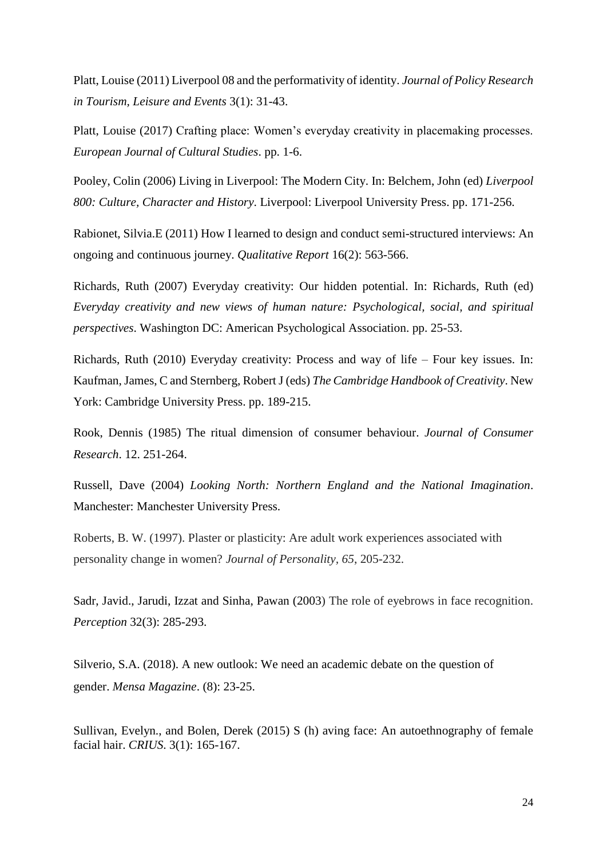Platt, Louise (2011) Liverpool 08 and the performativity of identity. *Journal of Policy Research in Tourism, Leisure and Events* 3(1): 31-43.

Platt, Louise (2017) Crafting place: Women's everyday creativity in placemaking processes. *European Journal of Cultural Studies*. pp. 1-6.

Pooley, Colin (2006) Living in Liverpool: The Modern City. In: Belchem, John (ed) *Liverpool 800: Culture, Character and History*. Liverpool: Liverpool University Press. pp. 171-256.

Rabionet, Silvia.E (2011) How I learned to design and conduct semi-structured interviews: An ongoing and continuous journey. *Qualitative Report* 16(2): 563-566.

Richards, Ruth (2007) Everyday creativity: Our hidden potential. In: Richards, Ruth (ed) *Everyday creativity and new views of human nature: Psychological, social, and spiritual perspectives*. Washington DC: American Psychological Association. pp. 25-53.

Richards, Ruth (2010) Everyday creativity: Process and way of life – Four key issues. In: Kaufman, James, C and Sternberg, Robert J (eds) *The Cambridge Handbook of Creativity*. New York: Cambridge University Press. pp. 189-215.

Rook, Dennis (1985) The ritual dimension of consumer behaviour. *Journal of Consumer Research*. 12. 251-264.

Russell, Dave (2004) *Looking North: Northern England and the National Imagination*. Manchester: Manchester University Press.

Roberts, B. W. (1997). Plaster or plasticity: Are adult work experiences associated with personality change in women? *Journal of Personality, 65*, 205-232.

Sadr, Javid., Jarudi, Izzat and Sinha, Pawan (2003) The role of eyebrows in face recognition. *Perception* 32(3): 285-293.

Silverio, S.A. (2018). A new outlook: We need an academic debate on the question of gender. *Mensa Magazine*. (8): 23-25.

Sullivan, Evelyn., and Bolen, Derek (2015) S (h) aving face: An autoethnography of female facial hair. *CRIUS*. 3(1): 165-167.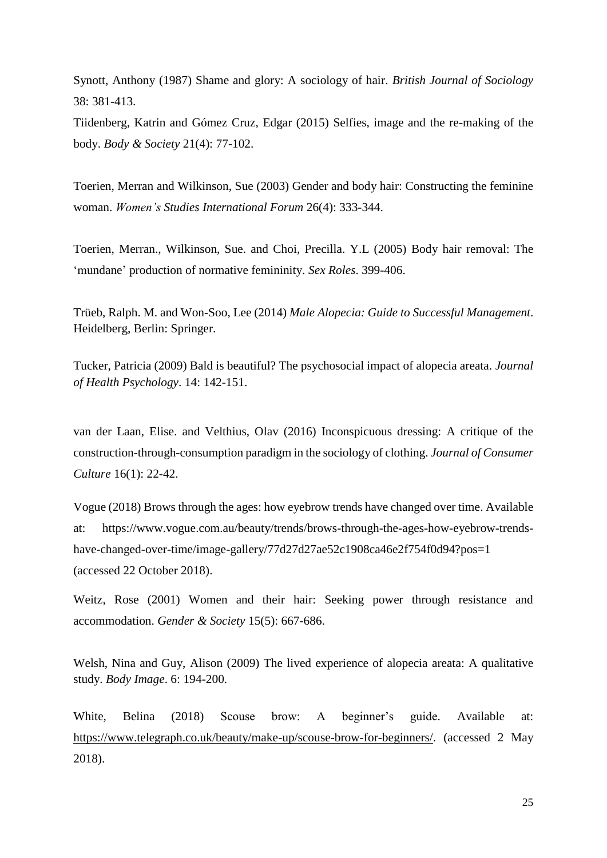Synott, Anthony (1987) Shame and glory: A sociology of hair. *British Journal of Sociology* 38: 381-413.

Tiidenberg, Katrin and Gómez Cruz, Edgar (2015) Selfies, image and the re-making of the body. *Body & Society* 21(4): 77-102.

Toerien, Merran and Wilkinson, Sue (2003) Gender and body hair: Constructing the feminine woman. *Women's Studies International Forum* 26(4): 333-344.

Toerien, Merran., Wilkinson, Sue. and Choi, Precilla. Y.L (2005) Body hair removal: The 'mundane' production of normative femininity. *Sex Roles*. 399-406.

Trüeb, Ralph. M. and Won-Soo, Lee (2014) *Male Alopecia: Guide to Successful Management*. Heidelberg, Berlin: Springer.

Tucker, Patricia (2009) Bald is beautiful? The psychosocial impact of alopecia areata. *Journal of Health Psychology*. 14: 142-151.

van der Laan, Elise. and Velthius, Olav (2016) Inconspicuous dressing: A critique of the construction-through-consumption paradigm in the sociology of clothing. *Journal of Consumer Culture* 16(1): 22-42.

Vogue (2018) Brows through the ages: how eyebrow trends have changed over time. Available at: https://www.vogue.com.au/beauty/trends/brows-through-the-ages-how-eyebrow-trendshave-changed-over-time/image-gallery/77d27d27ae52c1908ca46e2f754f0d94?pos=1 (accessed 22 October 2018).

Weitz, Rose (2001) Women and their hair: Seeking power through resistance and accommodation. *Gender & Society* 15(5): 667-686.

Welsh, Nina and Guy, Alison (2009) The lived experience of alopecia areata: A qualitative study. *Body Image*. 6: 194-200.

White, Belina (2018) Scouse brow: A beginner's guide. Available at: [https://www.telegraph.co.uk/beauty/make-up/scouse-brow-for-beginners/.](https://www.telegraph.co.uk/beauty/make-up/scouse-brow-for-beginners/) (accessed 2 May 2018).